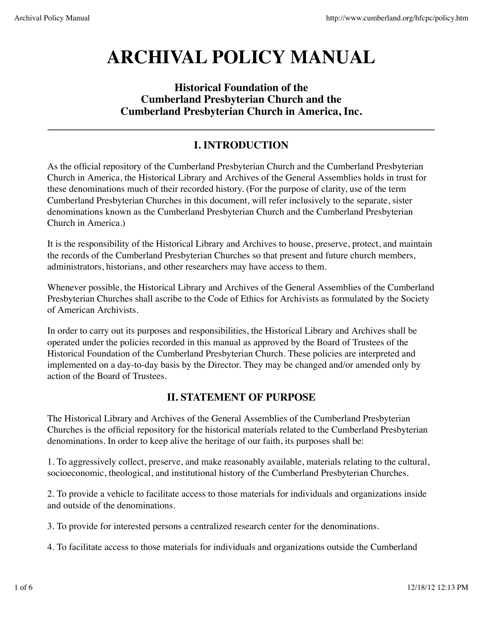# **ARCHIVAL POLICY MANUAL**

## **Historical Foundation of the Cumberland Presbyterian Church and the Cumberland Presbyterian Church in America, Inc.**

## **I. INTRODUCTION**

As the official repository of the Cumberland Presbyterian Church and the Cumberland Presbyterian Church in America, the Historical Library and Archives of the General Assemblies holds in trust for these denominations much of their recorded history. (For the purpose of clarity, use of the term Cumberland Presbyterian Churches in this document, will refer inclusively to the separate, sister denominations known as the Cumberland Presbyterian Church and the Cumberland Presbyterian Church in America.)

It is the responsibility of the Historical Library and Archives to house, preserve, protect, and maintain the records of the Cumberland Presbyterian Churches so that present and future church members, administrators, historians, and other researchers may have access to them.

Whenever possible, the Historical Library and Archives of the General Assemblies of the Cumberland Presbyterian Churches shall ascribe to the Code of Ethics for Archivists as formulated by the Society of American Archivists.

In order to carry out its purposes and responsibilities, the Historical Library and Archives shall be operated under the policies recorded in this manual as approved by the Board of Trustees of the Historical Foundation of the Cumberland Presbyterian Church. These policies are interpreted and implemented on a day-to-day basis by the Director. They may be changed and/or amended only by action of the Board of Trustees.

## **II. STATEMENT OF PURPOSE**

The Historical Library and Archives of the General Assemblies of the Cumberland Presbyterian Churches is the official repository for the historical materials related to the Cumberland Presbyterian denominations. In order to keep alive the heritage of our faith, its purposes shall be:

1. To aggressively collect, preserve, and make reasonably available, materials relating to the cultural, socioeconomic, theological, and institutional history of the Cumberland Presbyterian Churches.

2. To provide a vehicle to facilitate access to those materials for individuals and organizations inside and outside of the denominations.

3. To provide for interested persons a centralized research center for the denominations.

4. To facilitate access to those materials for individuals and organizations outside the Cumberland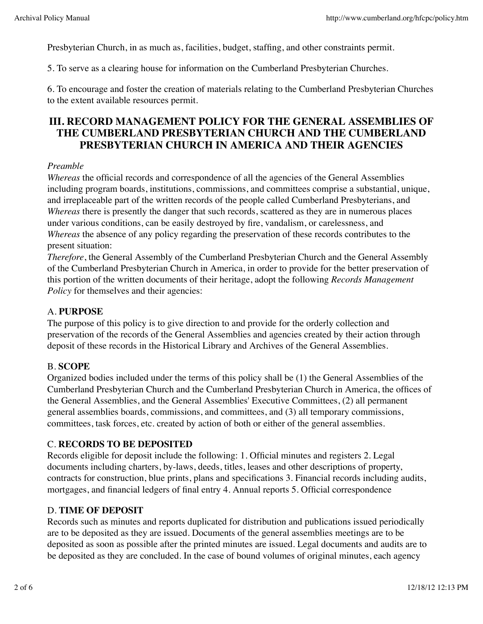Presbyterian Church, in as much as, facilities, budget, staffing, and other constraints permit.

5. To serve as a clearing house for information on the Cumberland Presbyterian Churches.

6. To encourage and foster the creation of materials relating to the Cumberland Presbyterian Churches to the extent available resources permit.

## **III. RECORD MANAGEMENT POLICY FOR THE GENERAL ASSEMBLIES OF THE CUMBERLAND PRESBYTERIAN CHURCH AND THE CUMBERLAND PRESBYTERIAN CHURCH IN AMERICA AND THEIR AGENCIES**

#### *Preamble*

*Whereas* the official records and correspondence of all the agencies of the General Assemblies including program boards, institutions, commissions, and committees comprise a substantial, unique, and irreplaceable part of the written records of the people called Cumberland Presbyterians, and *Whereas* there is presently the danger that such records, scattered as they are in numerous places under various conditions, can be easily destroyed by fire, vandalism, or carelessness, and *Whereas* the absence of any policy regarding the preservation of these records contributes to the present situation:

*Therefore*, the General Assembly of the Cumberland Presbyterian Church and the General Assembly of the Cumberland Presbyterian Church in America, in order to provide for the better preservation of this portion of the written documents of their heritage, adopt the following *Records Management Policy* for themselves and their agencies:

#### A. **PURPOSE**

The purpose of this policy is to give direction to and provide for the orderly collection and preservation of the records of the General Assemblies and agencies created by their action through deposit of these records in the Historical Library and Archives of the General Assemblies.

#### B. **SCOPE**

Organized bodies included under the terms of this policy shall be (1) the General Assemblies of the Cumberland Presbyterian Church and the Cumberland Presbyterian Church in America, the offices of the General Assemblies, and the General Assemblies' Executive Committees, (2) all permanent general assemblies boards, commissions, and committees, and (3) all temporary commissions, committees, task forces, etc. created by action of both or either of the general assemblies.

#### C. **RECORDS TO BE DEPOSITED**

Records eligible for deposit include the following: 1. Official minutes and registers 2. Legal documents including charters, by-laws, deeds, titles, leases and other descriptions of property, contracts for construction, blue prints, plans and specifications 3. Financial records including audits, mortgages, and financial ledgers of final entry 4. Annual reports 5. Official correspondence

#### D. **TIME OF DEPOSIT**

Records such as minutes and reports duplicated for distribution and publications issued periodically are to be deposited as they are issued. Documents of the general assemblies meetings are to be deposited as soon as possible after the printed minutes are issued. Legal documents and audits are to be deposited as they are concluded. In the case of bound volumes of original minutes, each agency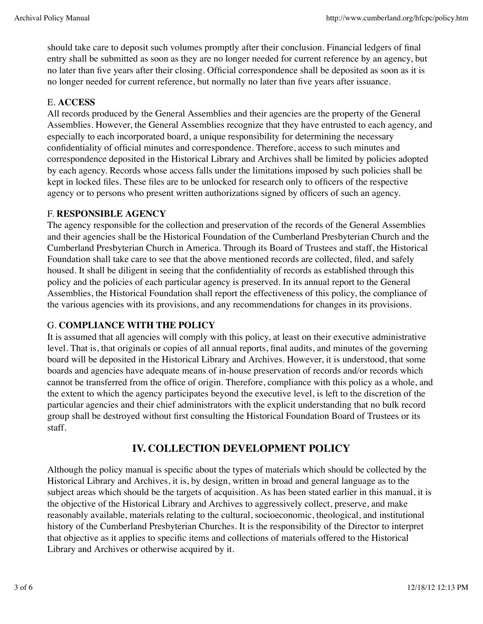should take care to deposit such volumes promptly after their conclusion. Financial ledgers of final entry shall be submitted as soon as they are no longer needed for current reference by an agency, but no later than five years after their closing. Official correspondence shall be deposited as soon as it is no longer needed for current reference, but normally no later than five years after issuance.

#### E. **ACCESS**

All records produced by the General Assemblies and their agencies are the property of the General Assemblies. However, the General Assemblies recognize that they have entrusted to each agency, and especially to each incorporated board, a unique responsibility for determining the necessary confidentiality of official minutes and correspondence. Therefore, access to such minutes and correspondence deposited in the Historical Library and Archives shall be limited by policies adopted by each agency. Records whose access falls under the limitations imposed by such policies shall be kept in locked files. These files are to be unlocked for research only to officers of the respective agency or to persons who present written authorizations signed by officers of such an agency.

#### F. **RESPONSIBLE AGENCY**

The agency responsible for the collection and preservation of the records of the General Assemblies and their agencies shall be the Historical Foundation of the Cumberland Presbyterian Church and the Cumberland Presbyterian Church in America. Through its Board of Trustees and staff, the Historical Foundation shall take care to see that the above mentioned records are collected, filed, and safely housed. It shall be diligent in seeing that the confidentiality of records as established through this policy and the policies of each particular agency is preserved. In its annual report to the General Assemblies, the Historical Foundation shall report the effectiveness of this policy, the compliance of the various agencies with its provisions, and any recommendations for changes in its provisions.

### G. **COMPLIANCE WITH THE POLICY**

It is assumed that all agencies will comply with this policy, at least on their executive administrative level. That is, that originals or copies of all annual reports, final audits, and minutes of the governing board will be deposited in the Historical Library and Archives. However, it is understood, that some boards and agencies have adequate means of in-house preservation of records and/or records which cannot be transferred from the office of origin. Therefore, compliance with this policy as a whole, and the extent to which the agency participates beyond the executive level, is left to the discretion of the particular agencies and their chief administrators with the explicit understanding that no bulk record group shall be destroyed without first consulting the Historical Foundation Board of Trustees or its staff.

## **IV. COLLECTION DEVELOPMENT POLICY**

Although the policy manual is specific about the types of materials which should be collected by the Historical Library and Archives, it is, by design, written in broad and general language as to the subject areas which should be the targets of acquisition. As has been stated earlier in this manual, it is the objective of the Historical Library and Archives to aggressively collect, preserve, and make reasonably available, materials relating to the cultural, socioeconomic, theological, and institutional history of the Cumberland Presbyterian Churches. It is the responsibility of the Director to interpret that objective as it applies to specific items and collections of materials offered to the Historical Library and Archives or otherwise acquired by it.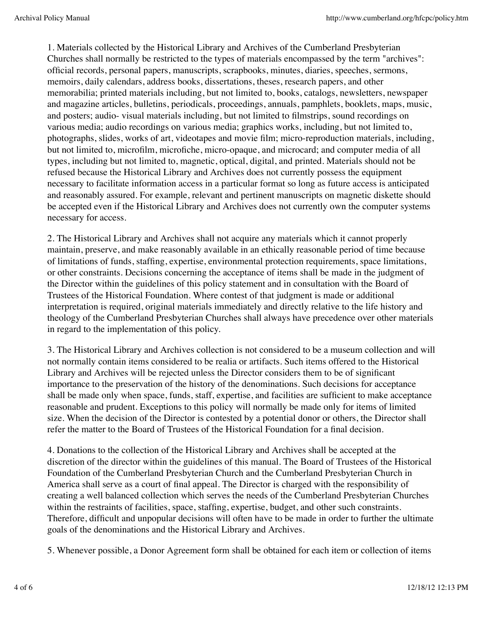1. Materials collected by the Historical Library and Archives of the Cumberland Presbyterian Churches shall normally be restricted to the types of materials encompassed by the term "archives": official records, personal papers, manuscripts, scrapbooks, minutes, diaries, speeches, sermons, memoirs, daily calendars, address books, dissertations, theses, research papers, and other memorabilia; printed materials including, but not limited to, books, catalogs, newsletters, newspaper and magazine articles, bulletins, periodicals, proceedings, annuals, pamphlets, booklets, maps, music, and posters; audio- visual materials including, but not limited to filmstrips, sound recordings on various media; audio recordings on various media; graphics works, including, but not limited to, photographs, slides, works of art, videotapes and movie film; micro-reproduction materials, including, but not limited to, microfilm, microfiche, micro-opaque, and microcard; and computer media of all types, including but not limited to, magnetic, optical, digital, and printed. Materials should not be refused because the Historical Library and Archives does not currently possess the equipment necessary to facilitate information access in a particular format so long as future access is anticipated and reasonably assured. For example, relevant and pertinent manuscripts on magnetic diskette should be accepted even if the Historical Library and Archives does not currently own the computer systems necessary for access.

2. The Historical Library and Archives shall not acquire any materials which it cannot properly maintain, preserve, and make reasonably available in an ethically reasonable period of time because of limitations of funds, staffing, expertise, environmental protection requirements, space limitations, or other constraints. Decisions concerning the acceptance of items shall be made in the judgment of the Director within the guidelines of this policy statement and in consultation with the Board of Trustees of the Historical Foundation. Where contest of that judgment is made or additional interpretation is required, original materials immediately and directly relative to the life history and theology of the Cumberland Presbyterian Churches shall always have precedence over other materials in regard to the implementation of this policy.

3. The Historical Library and Archives collection is not considered to be a museum collection and will not normally contain items considered to be realia or artifacts. Such items offered to the Historical Library and Archives will be rejected unless the Director considers them to be of significant importance to the preservation of the history of the denominations. Such decisions for acceptance shall be made only when space, funds, staff, expertise, and facilities are sufficient to make acceptance reasonable and prudent. Exceptions to this policy will normally be made only for items of limited size. When the decision of the Director is contested by a potential donor or others, the Director shall refer the matter to the Board of Trustees of the Historical Foundation for a final decision.

4. Donations to the collection of the Historical Library and Archives shall be accepted at the discretion of the director within the guidelines of this manual. The Board of Trustees of the Historical Foundation of the Cumberland Presbyterian Church and the Cumberland Presbyterian Church in America shall serve as a court of final appeal. The Director is charged with the responsibility of creating a well balanced collection which serves the needs of the Cumberland Presbyterian Churches within the restraints of facilities, space, staffing, expertise, budget, and other such constraints. Therefore, difficult and unpopular decisions will often have to be made in order to further the ultimate goals of the denominations and the Historical Library and Archives.

5. Whenever possible, a Donor Agreement form shall be obtained for each item or collection of items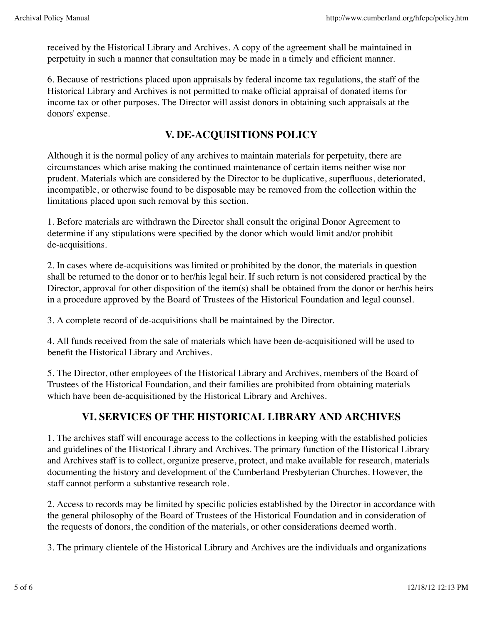received by the Historical Library and Archives. A copy of the agreement shall be maintained in perpetuity in such a manner that consultation may be made in a timely and efficient manner.

6. Because of restrictions placed upon appraisals by federal income tax regulations, the staff of the Historical Library and Archives is not permitted to make official appraisal of donated items for income tax or other purposes. The Director will assist donors in obtaining such appraisals at the donors' expense.

## **V. DE-ACQUISITIONS POLICY**

Although it is the normal policy of any archives to maintain materials for perpetuity, there are circumstances which arise making the continued maintenance of certain items neither wise nor prudent. Materials which are considered by the Director to be duplicative, superfluous, deteriorated, incompatible, or otherwise found to be disposable may be removed from the collection within the limitations placed upon such removal by this section.

1. Before materials are withdrawn the Director shall consult the original Donor Agreement to determine if any stipulations were specified by the donor which would limit and/or prohibit de-acquisitions.

2. In cases where de-acquisitions was limited or prohibited by the donor, the materials in question shall be returned to the donor or to her/his legal heir. If such return is not considered practical by the Director, approval for other disposition of the item(s) shall be obtained from the donor or her/his heirs in a procedure approved by the Board of Trustees of the Historical Foundation and legal counsel.

3. A complete record of de-acquisitions shall be maintained by the Director.

4. All funds received from the sale of materials which have been de-acquisitioned will be used to benefit the Historical Library and Archives.

5. The Director, other employees of the Historical Library and Archives, members of the Board of Trustees of the Historical Foundation, and their families are prohibited from obtaining materials which have been de-acquisitioned by the Historical Library and Archives.

## **VI. SERVICES OF THE HISTORICAL LIBRARY AND ARCHIVES**

1. The archives staff will encourage access to the collections in keeping with the established policies and guidelines of the Historical Library and Archives. The primary function of the Historical Library and Archives staff is to collect, organize preserve, protect, and make available for research, materials documenting the history and development of the Cumberland Presbyterian Churches. However, the staff cannot perform a substantive research role.

2. Access to records may be limited by specific policies established by the Director in accordance with the general philosophy of the Board of Trustees of the Historical Foundation and in consideration of the requests of donors, the condition of the materials, or other considerations deemed worth.

3. The primary clientele of the Historical Library and Archives are the individuals and organizations